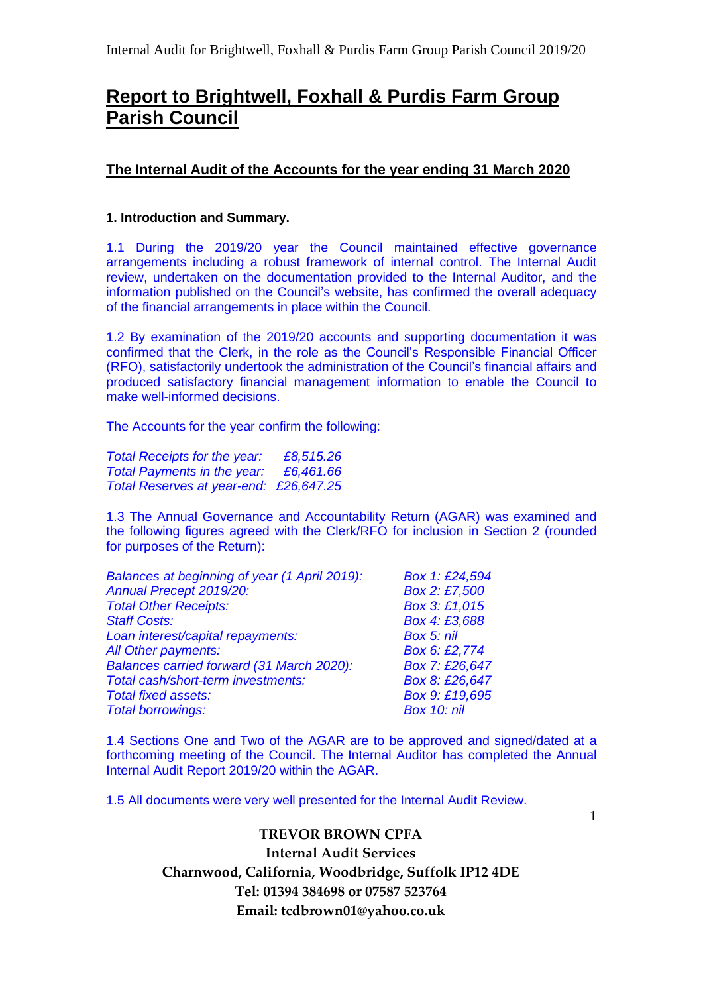# **Report to Brightwell, Foxhall & Purdis Farm Group Parish Council**

## **The Internal Audit of the Accounts for the year ending 31 March 2020**

### **1. Introduction and Summary.**

1.1 During the 2019/20 year the Council maintained effective governance arrangements including a robust framework of internal control. The Internal Audit review, undertaken on the documentation provided to the Internal Auditor, and the information published on the Council's website, has confirmed the overall adequacy of the financial arrangements in place within the Council.

1.2 By examination of the 2019/20 accounts and supporting documentation it was confirmed that the Clerk, in the role as the Council's Responsible Financial Officer (RFO), satisfactorily undertook the administration of the Council's financial affairs and produced satisfactory financial management information to enable the Council to make well-informed decisions.

The Accounts for the year confirm the following:

*Total Receipts for the year: £8,515.26 Total Payments in the year: £6,461.66 Total Reserves at year-end: £26,647.25*

1.3 The Annual Governance and Accountability Return (AGAR) was examined and the following figures agreed with the Clerk/RFO for inclusion in Section 2 (rounded for purposes of the Return):

| Balances at beginning of year (1 April 2019): | Box 1: £24,594     |
|-----------------------------------------------|--------------------|
| Annual Precept 2019/20:                       | Box 2: £7,500      |
| <b>Total Other Receipts:</b>                  | Box 3: £1,015      |
| <b>Staff Costs:</b>                           | Box 4: £3,688      |
| Loan interest/capital repayments:             | Box 5: nil         |
| All Other payments:                           | Box 6: £2,774      |
| Balances carried forward (31 March 2020):     | Box 7: £26,647     |
| Total cash/short-term investments:            | Box 8: £26,647     |
| Total fixed assets:                           | Box 9: £19,695     |
| <b>Total borrowings:</b>                      | <b>Box 10: nil</b> |

1.4 Sections One and Two of the AGAR are to be approved and signed/dated at a forthcoming meeting of the Council. The Internal Auditor has completed the Annual Internal Audit Report 2019/20 within the AGAR.

1.5 All documents were very well presented for the Internal Audit Review.

**TREVOR BROWN CPFA Internal Audit Services Charnwood, California, Woodbridge, Suffolk IP12 4DE Tel: 01394 384698 or 07587 523764 Email: tcdbrown01@yahoo.co.uk**

1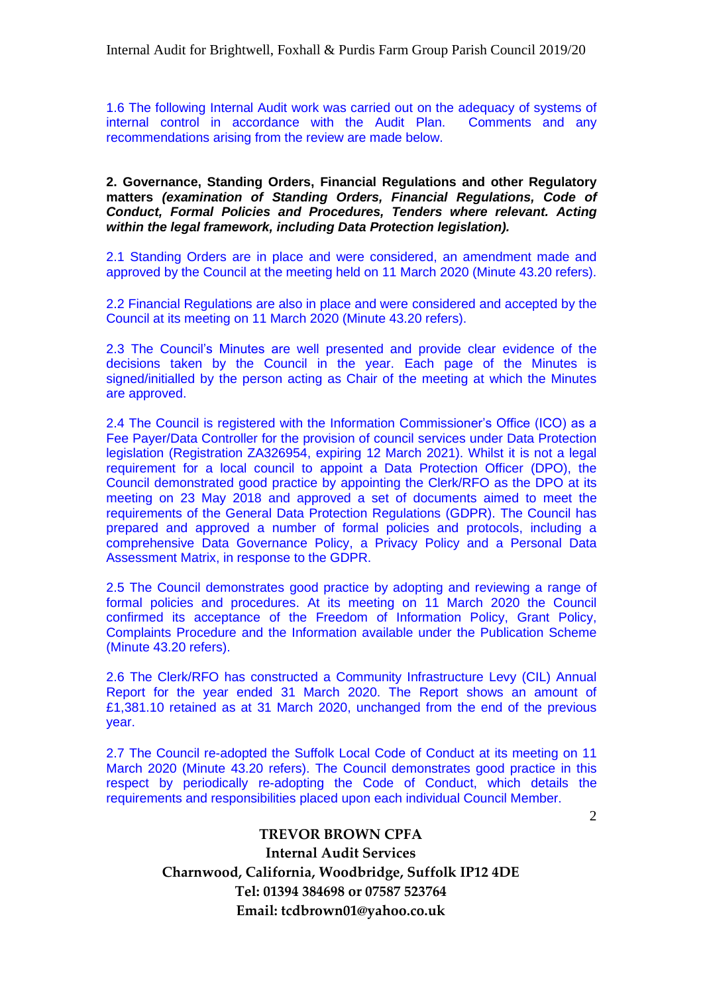1.6 The following Internal Audit work was carried out on the adequacy of systems of internal control in accordance with the Audit Plan. Comments and any recommendations arising from the review are made below.

**2. Governance, Standing Orders, Financial Regulations and other Regulatory matters** *(examination of Standing Orders, Financial Regulations, Code of Conduct, Formal Policies and Procedures, Tenders where relevant. Acting within the legal framework, including Data Protection legislation).*

2.1 Standing Orders are in place and were considered, an amendment made and approved by the Council at the meeting held on 11 March 2020 (Minute 43.20 refers).

2.2 Financial Regulations are also in place and were considered and accepted by the Council at its meeting on 11 March 2020 (Minute 43.20 refers).

2.3 The Council's Minutes are well presented and provide clear evidence of the decisions taken by the Council in the year. Each page of the Minutes is signed/initialled by the person acting as Chair of the meeting at which the Minutes are approved.

2.4 The Council is registered with the Information Commissioner's Office (ICO) as a Fee Payer/Data Controller for the provision of council services under Data Protection legislation (Registration ZA326954, expiring 12 March 2021). Whilst it is not a legal requirement for a local council to appoint a Data Protection Officer (DPO), the Council demonstrated good practice by appointing the Clerk/RFO as the DPO at its meeting on 23 May 2018 and approved a set of documents aimed to meet the requirements of the General Data Protection Regulations (GDPR). The Council has prepared and approved a number of formal policies and protocols, including a comprehensive Data Governance Policy, a Privacy Policy and a Personal Data Assessment Matrix, in response to the GDPR.

2.5 The Council demonstrates good practice by adopting and reviewing a range of formal policies and procedures. At its meeting on 11 March 2020 the Council confirmed its acceptance of the Freedom of Information Policy, Grant Policy, Complaints Procedure and the Information available under the Publication Scheme (Minute 43.20 refers).

2.6 The Clerk/RFO has constructed a Community Infrastructure Levy (CIL) Annual Report for the year ended 31 March 2020. The Report shows an amount of £1,381.10 retained as at 31 March 2020, unchanged from the end of the previous year.

2.7 The Council re-adopted the Suffolk Local Code of Conduct at its meeting on 11 March 2020 (Minute 43.20 refers). The Council demonstrates good practice in this respect by periodically re-adopting the Code of Conduct, which details the requirements and responsibilities placed upon each individual Council Member.

> **TREVOR BROWN CPFA Internal Audit Services Charnwood, California, Woodbridge, Suffolk IP12 4DE Tel: 01394 384698 or 07587 523764 Email: tcdbrown01@yahoo.co.uk**

2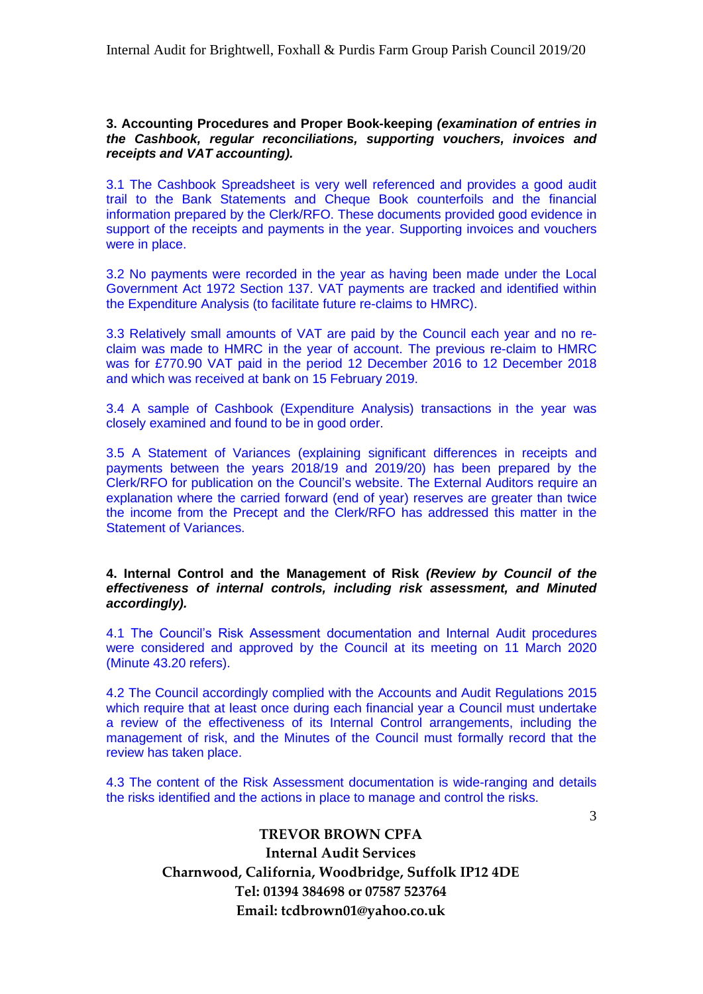#### **3. Accounting Procedures and Proper Book-keeping** *(examination of entries in the Cashbook, regular reconciliations, supporting vouchers, invoices and receipts and VAT accounting).*

3.1 The Cashbook Spreadsheet is very well referenced and provides a good audit trail to the Bank Statements and Cheque Book counterfoils and the financial information prepared by the Clerk/RFO. These documents provided good evidence in support of the receipts and payments in the year. Supporting invoices and vouchers were in place.

3.2 No payments were recorded in the year as having been made under the Local Government Act 1972 Section 137. VAT payments are tracked and identified within the Expenditure Analysis (to facilitate future re-claims to HMRC).

3.3 Relatively small amounts of VAT are paid by the Council each year and no reclaim was made to HMRC in the year of account. The previous re-claim to HMRC was for £770.90 VAT paid in the period 12 December 2016 to 12 December 2018 and which was received at bank on 15 February 2019.

3.4 A sample of Cashbook (Expenditure Analysis) transactions in the year was closely examined and found to be in good order.

3.5 A Statement of Variances (explaining significant differences in receipts and payments between the years 2018/19 and 2019/20) has been prepared by the Clerk/RFO for publication on the Council's website. The External Auditors require an explanation where the carried forward (end of year) reserves are greater than twice the income from the Precept and the Clerk/RFO has addressed this matter in the Statement of Variances.

**4. Internal Control and the Management of Risk** *(Review by Council of the effectiveness of internal controls, including risk assessment, and Minuted accordingly).*

4.1 The Council's Risk Assessment documentation and Internal Audit procedures were considered and approved by the Council at its meeting on 11 March 2020 (Minute 43.20 refers).

4.2 The Council accordingly complied with the Accounts and Audit Regulations 2015 which require that at least once during each financial year a Council must undertake a review of the effectiveness of its Internal Control arrangements, including the management of risk, and the Minutes of the Council must formally record that the review has taken place.

4.3 The content of the Risk Assessment documentation is wide-ranging and details the risks identified and the actions in place to manage and control the risks.

3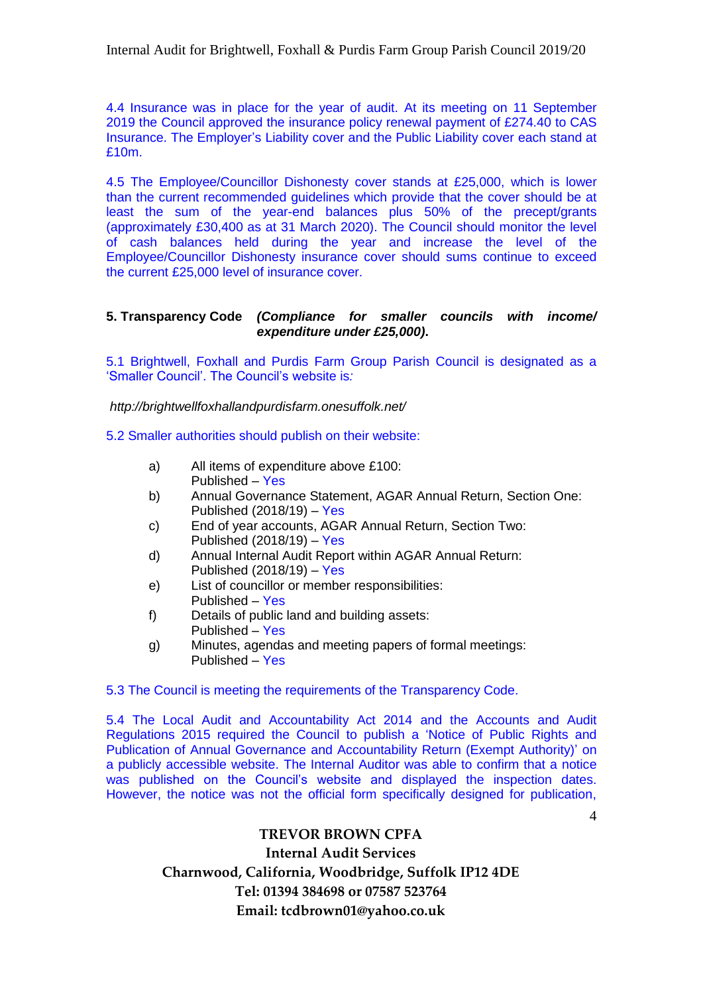Internal Audit for Brightwell, Foxhall & Purdis Farm Group Parish Council 2019/20

4.4 Insurance was in place for the year of audit. At its meeting on 11 September 2019 the Council approved the insurance policy renewal payment of £274.40 to CAS Insurance. The Employer's Liability cover and the Public Liability cover each stand at £10m.

4.5 The Employee/Councillor Dishonesty cover stands at £25,000, which is lower than the current recommended guidelines which provide that the cover should be at least the sum of the year-end balances plus 50% of the precept/grants (approximately £30,400 as at 31 March 2020). The Council should monitor the level of cash balances held during the year and increase the level of the Employee/Councillor Dishonesty insurance cover should sums continue to exceed the current £25,000 level of insurance cover.

#### **5. Transparency Code** *(Compliance for smaller councils with income/ expenditure under £25,000)***.**

5.1 Brightwell, Foxhall and Purdis Farm Group Parish Council is designated as a 'Smaller Council'. The Council's website is*:*

*http://brightwellfoxhallandpurdisfarm.onesuffolk.net/*

5.2 Smaller authorities should publish on their website:

- a) All items of expenditure above £100: Published – Yes
- b) Annual Governance Statement, AGAR Annual Return, Section One: Published (2018/19) – Yes
- c) End of year accounts, AGAR Annual Return, Section Two: Published (2018/19) – Yes
- d) Annual Internal Audit Report within AGAR Annual Return: Published (2018/19) – Yes
- e) List of councillor or member responsibilities: Published – Yes
- f) Details of public land and building assets: Published – Yes
- g) Minutes, agendas and meeting papers of formal meetings: Published – Yes

5.3 The Council is meeting the requirements of the Transparency Code.

5.4 The Local Audit and Accountability Act 2014 and the Accounts and Audit Regulations 2015 required the Council to publish a 'Notice of Public Rights and Publication of Annual Governance and Accountability Return (Exempt Authority)' on a publicly accessible website. The Internal Auditor was able to confirm that a notice was published on the Council's website and displayed the inspection dates. However, the notice was not the official form specifically designed for publication,

4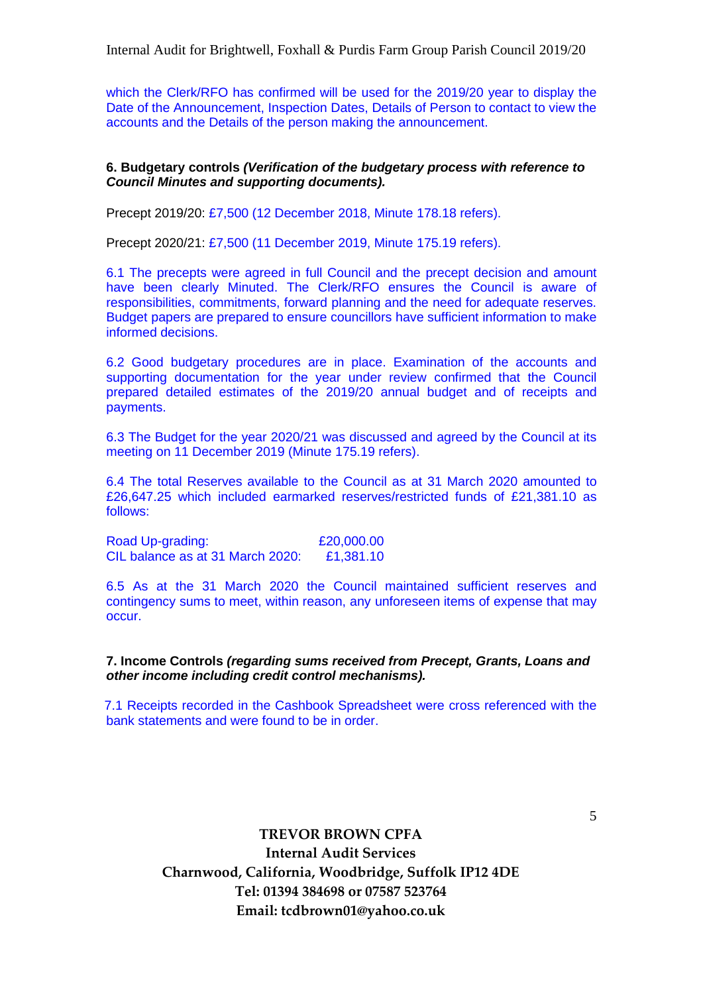Internal Audit for Brightwell, Foxhall & Purdis Farm Group Parish Council 2019/20

which the Clerk/RFO has confirmed will be used for the 2019/20 year to display the Date of the Announcement, Inspection Dates, Details of Person to contact to view the accounts and the Details of the person making the announcement.

#### **6. Budgetary controls** *(Verification of the budgetary process with reference to Council Minutes and supporting documents).*

Precept 2019/20: £7,500 (12 December 2018, Minute 178.18 refers).

Precept 2020/21: £7,500 (11 December 2019, Minute 175.19 refers).

6.1 The precepts were agreed in full Council and the precept decision and amount have been clearly Minuted. The Clerk/RFO ensures the Council is aware of responsibilities, commitments, forward planning and the need for adequate reserves. Budget papers are prepared to ensure councillors have sufficient information to make informed decisions.

6.2 Good budgetary procedures are in place. Examination of the accounts and supporting documentation for the year under review confirmed that the Council prepared detailed estimates of the 2019/20 annual budget and of receipts and payments.

6.3 The Budget for the year 2020/21 was discussed and agreed by the Council at its meeting on 11 December 2019 (Minute 175.19 refers).

6.4 The total Reserves available to the Council as at 31 March 2020 amounted to £26,647.25 which included earmarked reserves/restricted funds of £21,381.10 as follows:

Road Up-grading:  $£20,000.00$ CIL balance as at 31 March 2020: £1,381.10

6.5 As at the 31 March 2020 the Council maintained sufficient reserves and contingency sums to meet, within reason, any unforeseen items of expense that may occur.

**7. Income Controls** *(regarding sums received from Precept, Grants, Loans and other income including credit control mechanisms).*

7.1 Receipts recorded in the Cashbook Spreadsheet were cross referenced with the bank statements and were found to be in order.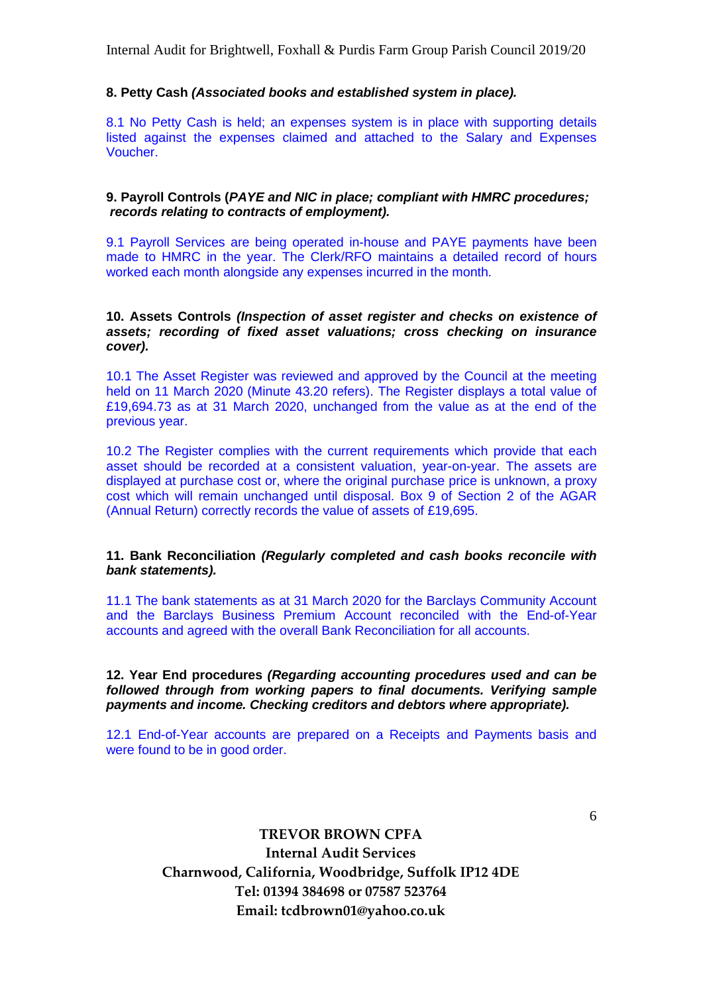**8. Petty Cash** *(Associated books and established system in place).*

8.1 No Petty Cash is held; an expenses system is in place with supporting details listed against the expenses claimed and attached to the Salary and Expenses Voucher.

#### **9. Payroll Controls (***PAYE and NIC in place; compliant with HMRC procedures; records relating to contracts of employment).*

9.1 Payroll Services are being operated in-house and PAYE payments have been made to HMRC in the year. The Clerk/RFO maintains a detailed record of hours worked each month alongside any expenses incurred in the month.

#### **10. Assets Controls** *(Inspection of asset register and checks on existence of assets; recording of fixed asset valuations; cross checking on insurance cover).*

10.1 The Asset Register was reviewed and approved by the Council at the meeting held on 11 March 2020 (Minute 43.20 refers). The Register displays a total value of £19,694.73 as at 31 March 2020, unchanged from the value as at the end of the previous year.

10.2 The Register complies with the current requirements which provide that each asset should be recorded at a consistent valuation, year-on-year. The assets are displayed at purchase cost or, where the original purchase price is unknown, a proxy cost which will remain unchanged until disposal. Box 9 of Section 2 of the AGAR (Annual Return) correctly records the value of assets of £19,695.

#### **11. Bank Reconciliation** *(Regularly completed and cash books reconcile with bank statements).*

11.1 The bank statements as at 31 March 2020 for the Barclays Community Account and the Barclays Business Premium Account reconciled with the End-of-Year accounts and agreed with the overall Bank Reconciliation for all accounts.

**12. Year End procedures** *(Regarding accounting procedures used and can be followed through from working papers to final documents. Verifying sample payments and income. Checking creditors and debtors where appropriate).*

12.1 End-of-Year accounts are prepared on a Receipts and Payments basis and were found to be in good order.